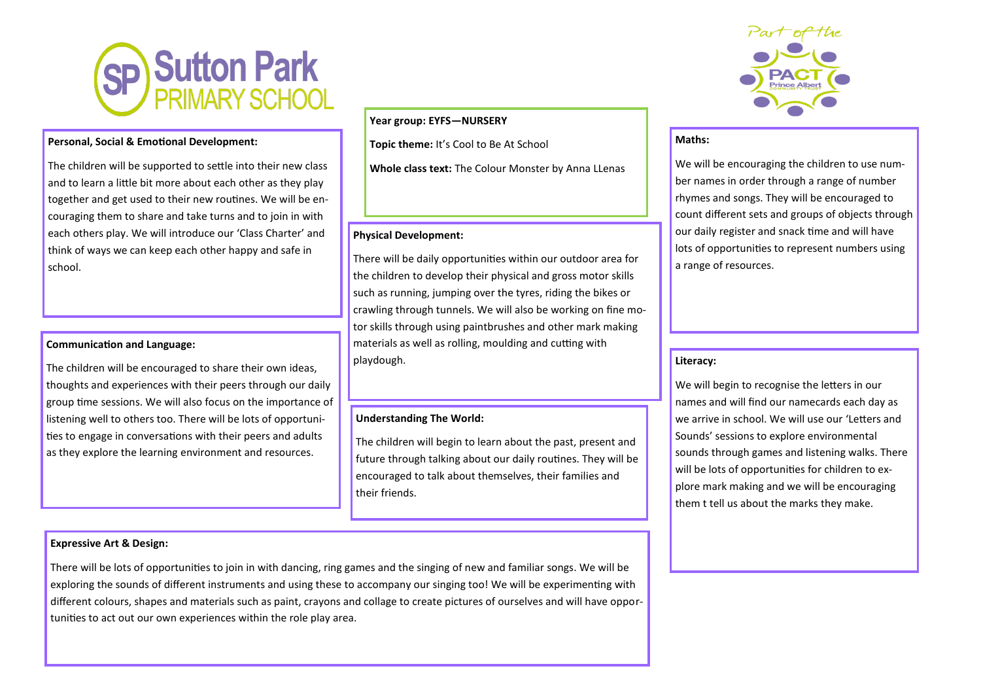

#### **Personal, Social & Emotional Development:**

The children will be supported to settle into their new class and to learn a little bit more about each other as they play together and get used to their new routines. We will be encouraging them to share and take turns and to join in with each others play. We will introduce our 'Class Charter' and think of ways we can keep each other happy and safe in school.

# **Communication and Language:**

The children will be encouraged to share their own ideas, thoughts and experiences with their peers through our daily group time sessions. We will also focus on the importance of listening well to others too. There will be lots of opportunities to engage in conversations with their peers and adults as they explore the learning environment and resources.

# **Year group: EYFS—NURSERY**

**Topic theme:** It's Cool to Be At School

**Whole class text:** The Colour Monster by Anna LLenas

# **Physical Development:**

There will be daily opportunities within our outdoor area for the children to develop their physical and gross motor skills such as running, jumping over the tyres, riding the bikes or crawling through tunnels. We will also be working on fine motor skills through using paintbrushes and other mark making materials as well as rolling, moulding and cutting with playdough.

# **Understanding The World:**

The children will begin to learn about the past, present and future through talking about our daily routines. They will be encouraged to talk about themselves, their families and their friends.



# **Maths:**

We will be encouraging the children to use number names in order through a range of number rhymes and songs. They will be encouraged to count different sets and groups of objects through our daily register and snack time and will have lots of opportunities to represent numbers using a range of resources.

## **Literacy:**

We will begin to recognise the letters in our names and will find our namecards each day as we arrive in school. We will use our 'Letters and Sounds' sessions to explore environmental sounds through games and listening walks. There will be lots of opportunities for children to explore mark making and we will be encouraging them t tell us about the marks they make.

#### **Expressive Art & Design:**

There will be lots of opportunities to join in with dancing, ring games and the singing of new and familiar songs. We will be exploring the sounds of different instruments and using these to accompany our singing too! We will be experimenting with different colours, shapes and materials such as paint, crayons and collage to create pictures of ourselves and will have opportunities to act out our own experiences within the role play area.